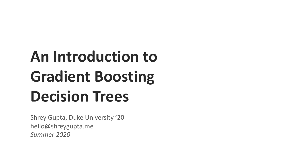## **An Introduction to Gradient Boosting Decision Trees**

Shrey Gupta, Duke University '20 hello@shreygupta.me *Summer 2020*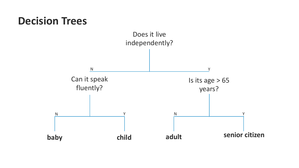### **Decision Trees**

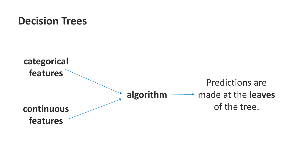### **Decision Trees**

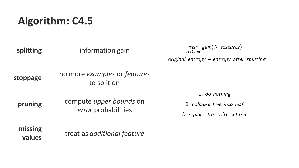### **Algorithm: C4.5**

| splitting         | information gain                                             | $\max_{features}$ gain( $X$ , features)                                     |
|-------------------|--------------------------------------------------------------|-----------------------------------------------------------------------------|
|                   |                                                              | $=$ original entropy – entropy after splitting                              |
| stoppage          | no more examples or features<br>to split on                  |                                                                             |
| pruning           | compute <i>upper bounds</i> on<br><i>error</i> probabilities | 1. do nothing<br>2. collapse tree into leaf<br>3. replace tree with subtree |
| missing<br>values | treat as additional feature                                  |                                                                             |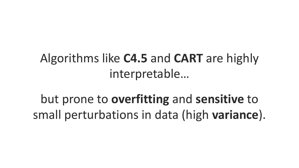### Algorithms like **C4.5** and **CART** are highly interpretable…

but prone to **overfitting** and **sensitive** to small perturbations in data (high **variance**).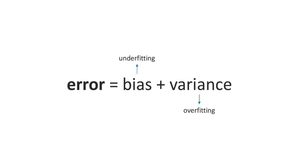# **error** = bias + variance underfitting overfitting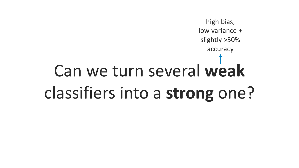### Can we turn several **weak** classifiers into a **strong** one? high bias, low variance + slightly >50% accuracy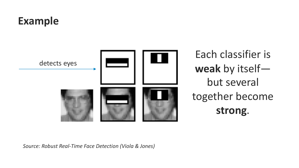### **Example**



Each classifier is **weak** by itself but several together become **strong**.

*Source: Robust Real-Time Face Detection (Viola & Jones)*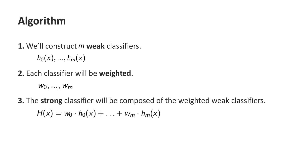### **Algorithm**

**1.** We'll construct **weak** classifiers.

 $h_0(x), ..., h_m(x)$ 

**2.** Each classifier will be **weighted**.

 $W_0, \ldots, W_m$ 

**3.** The **strong** classifier will be composed of the weighted weak classifiers.

 $H(x) = w_0 \cdot h_0(x) + ... + w_m \cdot h_m(x)$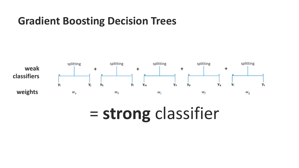### **Gradient Boosting Decision Trees**



## = **strong** classifier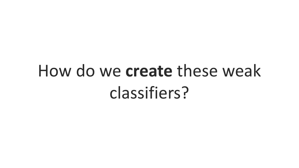## How do we **create** these weak classifiers?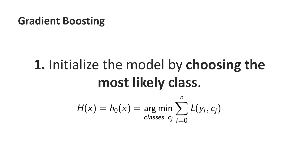## **1.** Initialize the model by **choosing the most likely class**.

$$
H(x) = h_0(x) = \argmin_{\text{classes } c_j} \sum_{i=0}^{n} L(y_i, c_j)
$$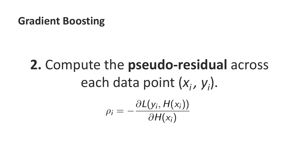# **2.** Compute the **pseudo-residual** across each data point (x<sub>i</sub>, y<sub>i</sub>).  $\rho_i = -\frac{\partial L(y_i, H(x_i))}{\partial H(x_i)}$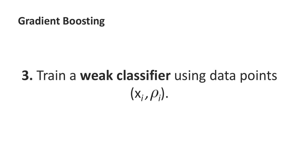## **3.** Train a **weak classifier** using data points  $(x_i, \rho_i)$ .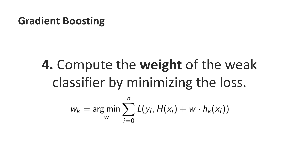## **4.** Compute the **weight** of the weak classifier by minimizing the loss.

$$
w_k = \argmin_{w} \sum_{i=0}^{n} L(y_i, H(x_i) + w \cdot h_k(x_i))
$$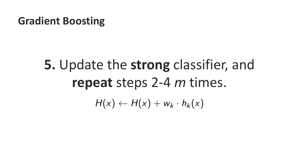## **5.** Update the **strong** classifier, and **repeat** steps 2-4 *m* times.  $H(x) \leftarrow H(x) + w_k \cdot h_k(x)$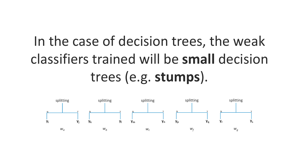## In the case of decision trees, the weak classifiers trained will be **small** decision trees (e.g. **stumps**).

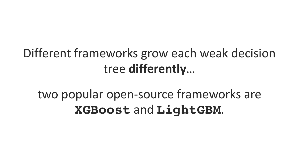### Different frameworks grow each weak decision tree **differently**…

### two popular open-source frameworks are **XGBoost** and **LightGBM**.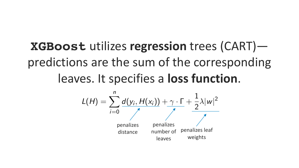**XGBoost** utilizes **regression** trees (CART) predictions are the sum of the corresponding leaves. It specifies a **loss function**.

$$
L(H) = \sum_{i=0}^{n} \frac{d(y_i, H(x_i)) + \gamma \cdot \Gamma + \frac{1}{2}\lambda |w|^2}{\sum_{\substack{\text{penalizes} \\ \text{distance}}} \sum_{\substack{\text{penalizes} \\ \text{number of penalizes leaf} \\ \text{weights}}} \frac{1}{\gamma}
$$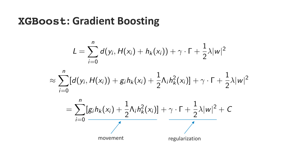$$
L=\sum_{i=0}^n d(y_i,H(x_i)+h_k(x_i))+\gamma\cdot \Gamma+\frac{1}{2}\lambda |w|^2
$$



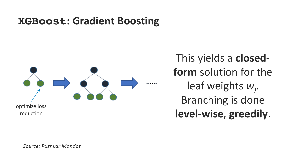

This yields a **closedform** solution for the leaf weights *wj* . Branching is done

*Source: Pushkar Mandot*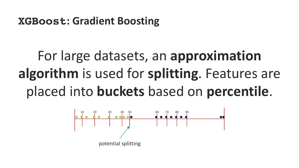## For large datasets, an **approximation algorithm** is used for **splitting**. Features are placed into **buckets** based on **percentile**.

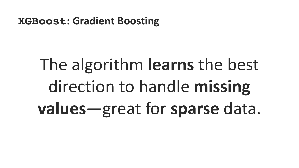# The algorithm **learns** the best direction to handle **missing values**—great for **sparse** data.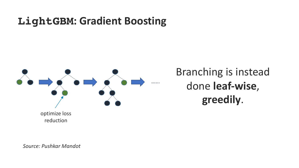

Branching is instead done **leaf-wise**, **greedily**.

*Source: Pushkar Mandot*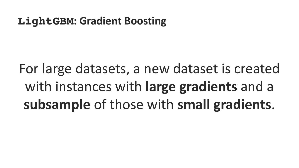For large datasets, a new dataset is created with instances with **large gradients** and a **subsample** of those with **small gradients**.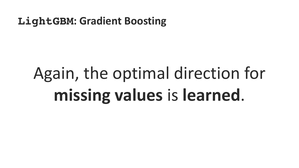# Again, the optimal direction for **missing values** is **learned**.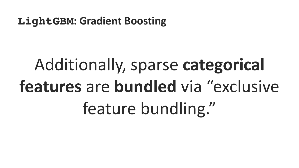# Additionally, sparse **categorical features** are **bundled** via "exclusive feature bundling."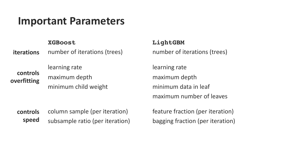#### **Important Parameters**

**XGBoost**

number of iterations (trees) **iterations**

**controls overfitting** learning rate maximum depth minimum child weight **LightGBM**

number of iterations (trees)

learning rate maximum depth minimum data in leaf maximum number of leaves

column sample (per iteration) subsample ratio (per iteration) **controls speed**

feature fraction (per iteration) bagging fraction (per iteration)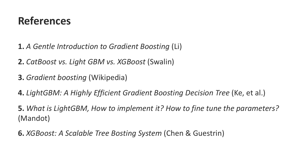### **References**

**1.** *A Gentle Introduction to Gradient Boosting* (Li)

**2.** *CatBoost vs. Light GBM vs. XGBoost* (Swalin)

**3.** *Gradient boosting* (Wikipedia)

**4.** *LightGBM: A Highly Efficient Gradient Boosting Decision Tree* (Ke, et al.)

**5.** *What is LightGBM, How to implement it? How to fine tune the parameters?*  (Mandot)

**6.** *XGBoost: A Scalable Tree Bosting System* (Chen & Guestrin)